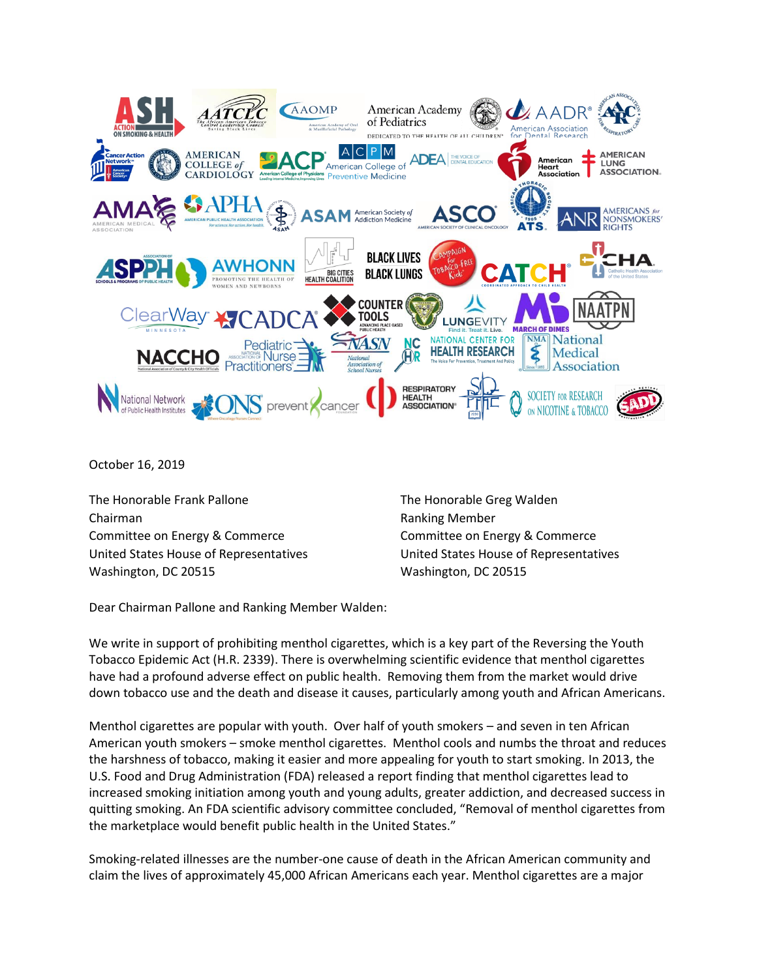

October 16, 2019

The Honorable Frank Pallone Chairman Committee on Energy & Commerce United States House of Representatives Washington, DC 20515

The Honorable Greg Walden Ranking Member Committee on Energy & Commerce United States House of Representatives Washington, DC 20515

Dear Chairman Pallone and Ranking Member Walden:

We write in support of prohibiting menthol cigarettes, which is a key part of the Reversing the Youth Tobacco Epidemic Act (H.R. 2339). There is overwhelming scientific evidence that menthol cigarettes have had a profound adverse effect on public health. Removing them from the market would drive down tobacco use and the death and disease it causes, particularly among youth and African Americans.

Menthol cigarettes are popular with youth. Over half of youth smokers – and seven in ten African American youth smokers – smoke menthol cigarettes. Menthol cools and numbs the throat and reduces the harshness of tobacco, making it easier and more appealing for youth to start smoking. In 2013, the U.S. Food and Drug Administration (FDA) released a report finding that menthol cigarettes lead to increased smoking initiation among youth and young adults, greater addiction, and decreased success in quitting smoking. An FDA scientific advisory committee concluded, "Removal of menthol cigarettes from the marketplace would benefit public health in the United States."

Smoking-related illnesses are the number-one cause of death in the African American community and claim the lives of approximately 45,000 African Americans each year. Menthol cigarettes are a major